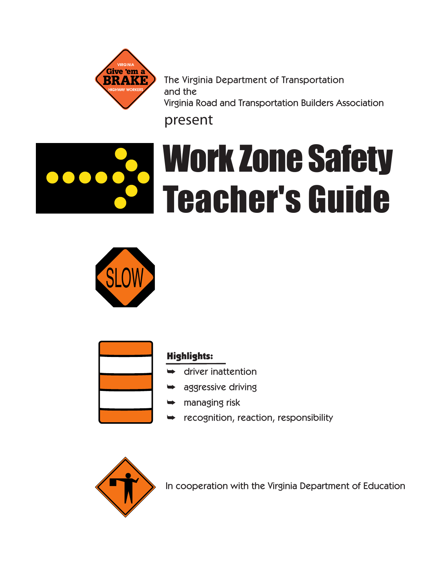

The Virginia Department of Transportation and the Virginia Road and Transportation Builders Association

# present







## Highlights:

- ➥ driver inattention
- aggressive driving
- ➥ managing risk
- ➥ recognition, reaction, responsibility



In cooperation with the Virginia Department of Education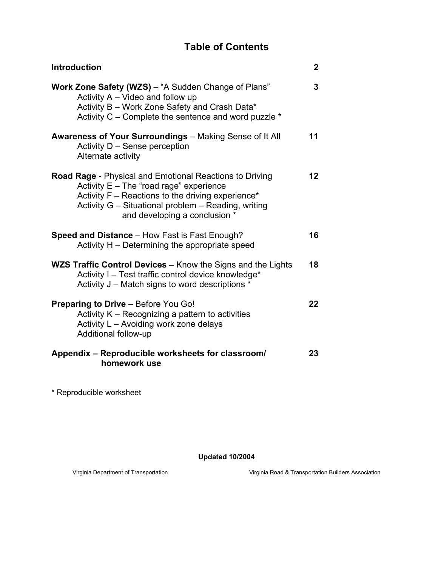# **Table of Contents**

| <b>Introduction</b>                                                                                                                                                                                                                                        | $\overline{2}$  |  |  |  |  |
|------------------------------------------------------------------------------------------------------------------------------------------------------------------------------------------------------------------------------------------------------------|-----------------|--|--|--|--|
| Work Zone Safety (WZS) - "A Sudden Change of Plans"<br>Activity A - Video and follow up<br>Activity B - Work Zone Safety and Crash Data*<br>Activity C – Complete the sentence and word puzzle *                                                           | 3               |  |  |  |  |
| <b>Awareness of Your Surroundings</b> - Making Sense of It All<br>Activity D - Sense perception<br>Alternate activity                                                                                                                                      | 11              |  |  |  |  |
| <b>Road Rage</b> - Physical and Emotional Reactions to Driving<br>Activity $E$ – The "road rage" experience<br>Activity $F -$ Reactions to the driving experience*<br>Activity G - Situational problem - Reading, writing<br>and developing a conclusion * | 12 <sup>°</sup> |  |  |  |  |
| <b>Speed and Distance - How Fast is Fast Enough?</b><br>Activity H – Determining the appropriate speed                                                                                                                                                     |                 |  |  |  |  |
| WZS Traffic Control Devices - Know the Signs and the Lights<br>Activity I - Test traffic control device knowledge*<br>Activity J – Match signs to word descriptions *                                                                                      |                 |  |  |  |  |
| <b>Preparing to Drive - Before You Go!</b><br>Activity K - Recognizing a pattern to activities<br>Activity L - Avoiding work zone delays<br>Additional follow-up                                                                                           | 22              |  |  |  |  |
| Appendix - Reproducible worksheets for classroom/<br>homework use                                                                                                                                                                                          |                 |  |  |  |  |

\* Reproducible worksheet

**Updated 10/2004**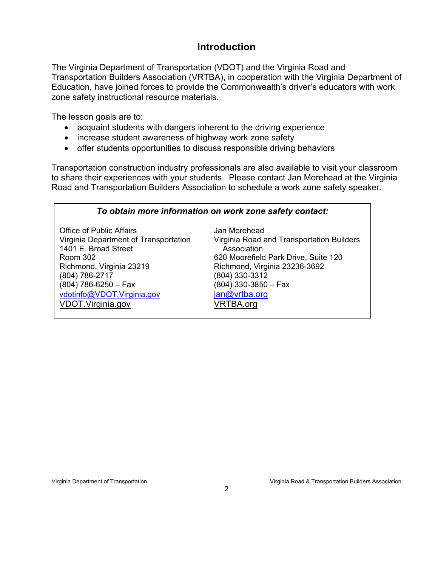### **Introduction**

The Virginia Department of Transportation (VDOT) and the Virginia Road and Transportation Builders Association (VRTBA), in cooperation with the Virginia Department of Education, have joined forces to provide the Commonwealth's driver's educators with work zone safety instructional resource materials.

The lesson goals are to:

- acquaint students with dangers inherent to the driving experience
- increase student awareness of highway work zone safety
- offer students opportunities to discuss responsible driving behaviors

Transportation construction industry professionals are also available to visit your classroom to share their experiences with your students. Please contact Jan Morehead at the Virginia Road and Transportation Builders Association to schedule a work zone safety speaker.

#### *To obtain more information on work zone safety contact:*

Office of Public Affairs **Community** Contract and Morehead 1401 E. Broad Street **Association** Room 302 **620 Moorefield Park Drive, Suite 120** Richmond, Virginia 23219 Richmond, Virginia 23236-3692 (804) 786-2717 (804) 330-3312 (804) 786-6250 – Fax (804) 330-3850 – Fax vdotinfo@VDOT.Virginia.gov jan@vrtba.org VDOT.Virginia.gov VRTBA.org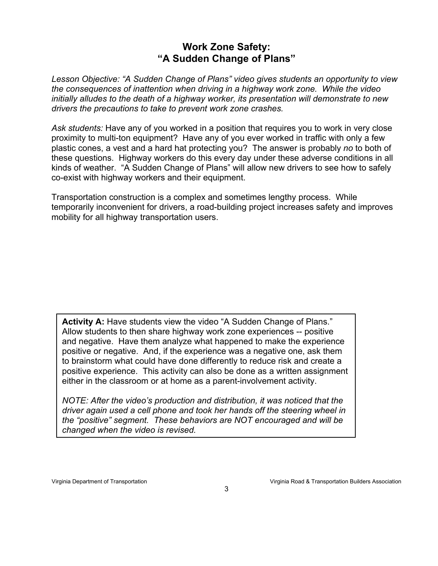# **Work Zone Safety: "A Sudden Change of Plans"**

*Lesson Objective: "A Sudden Change of Plans" video gives students an opportunity to view the consequences of inattention when driving in a highway work zone. While the video initially alludes to the death of a highway worker, its presentation will demonstrate to new drivers the precautions to take to prevent work zone crashes.* 

*Ask students:* Have any of you worked in a position that requires you to work in very close proximity to multi-ton equipment? Have any of you ever worked in traffic with only a few plastic cones, a vest and a hard hat protecting you? The answer is probably *no* to both of these questions. Highway workers do this every day under these adverse conditions in all kinds of weather. "A Sudden Change of Plans" will allow new drivers to see how to safely co-exist with highway workers and their equipment.

Transportation construction is a complex and sometimes lengthy process. While temporarily inconvenient for drivers, a road-building project increases safety and improves mobility for all highway transportation users.

Activity A: Have students view the video "A Sudden Change of Plans." Allow students to then share highway work zone experiences -- positive and negative. Have them analyze what happened to make the experience positive or negative. And, if the experience was a negative one, ask them to brainstorm what could have done differently to reduce risk and create a positive experience. This activity can also be done as a written assignment either in the classroom or at home as a parent-involvement activity.

*NOTE: After the video's production and distribution, it was noticed that the driver again used a cell phone and took her hands off the steering wheel in the "positive" segment. These behaviors are NOT encouraged and will be changed when the video is revised.*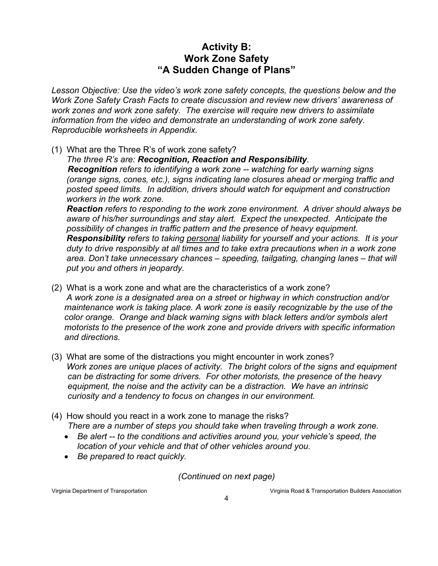### **Activity B: Work Zone Safety "A Sudden Change of Plans"**

*Lesson Objective: Use the video's work zone safety concepts, the questions below and the Work Zone Safety Crash Facts to create discussion and review new drivers' awareness of work zones and work zone safety. The exercise will require new drivers to assimilate information from the video and demonstrate an understanding of work zone safety. Reproducible worksheets in Appendix.* 

- (1) What are the Three R's of work zone safety?
	- *The three R's are: Recognition, Reaction and Responsibility.*

*Recognition refers to identifying a work zone -- watching for early warning signs (orange signs, cones, etc.), signs indicating lane closures ahead or merging traffic and posted speed limits. In addition, drivers should watch for equipment and construction workers in the work zone.* 

*Reaction refers to responding to the work zone environment. A driver should always be aware of his/her surroundings and stay alert. Expect the unexpected. Anticipate the possibility of changes in traffic pattern and the presence of heavy equipment. Responsibility refers to taking personal liability for yourself and your actions. It is your duty to drive responsibly at all times and to take extra precautions when in a work zone area. Don't take unnecessary chances – speeding, tailgating, changing lanes – that will put you and others in jeopardy.* 

- (2) What is a work zone and what are the characteristics of a work zone? *A work zone is a designated area on a street or highway in which construction and/or maintenance work is taking place. A work zone is easily recognizable by the use of the color orange. Orange and black warning signs with black letters and/or symbols alert motorists to the presence of the work zone and provide drivers with specific information and directions*.
- (3) What are some of the distractions you might encounter in work zones? *Work zones are unique places of activity. The bright colors of the signs and equipment can be distracting for some drivers. For other motorists, the presence of the heavy equipment, the noise and the activity can be a distraction. We have an intrinsic curiosity and a tendency to focus on changes in our environment.*
- (4) How should you react in a work zone to manage the risks? *There are a number of steps you should take when traveling through a work zone.* 
	- *Be alert -- to the conditions and activities around you, your vehicle's speed, the location of your vehicle and that of other vehicles around you.*
	- *Be prepared to react quickly.*

*(Continued on next page)*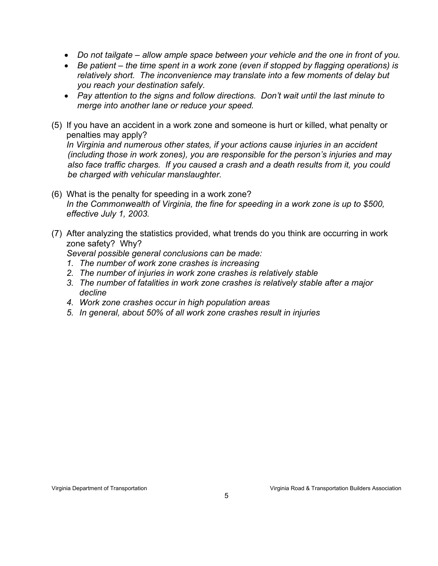- *Do not tailgate allow ample space between your vehicle and the one in front of you.*
- *Be patient the time spent in a work zone (even if stopped by flagging operations) is relatively short. The inconvenience may translate into a few moments of delay but you reach your destination safely.*
- *Pay attention to the signs and follow directions. Don't wait until the last minute to merge into another lane or reduce your speed.*
- (5) If you have an accident in a work zone and someone is hurt or killed, what penalty or penalties may apply?

*In Virginia and numerous other states, if your actions cause injuries in an accident (including those in work zones), you are responsible for the person's injuries and may also face traffic charges. If you caused a crash and a death results from it, you could be charged with vehicular manslaughter.* 

- (6) What is the penalty for speeding in a work zone? *In the Commonwealth of Virginia, the fine for speeding in a work zone is up to \$500, effective July 1, 2003.*
- (7) After analyzing the statistics provided, what trends do you think are occurring in work zone safety? Why?

*Several possible general conclusions can be made:* 

- *1. The number of work zone crashes is increasing*
- *2. The number of injuries in work zone crashes is relatively stable*
- *3. The number of fatalities in work zone crashes is relatively stable after a major decline*
- *4. Work zone crashes occur in high population areas*
- *5. In general, about 50% of all work zone crashes result in injuries*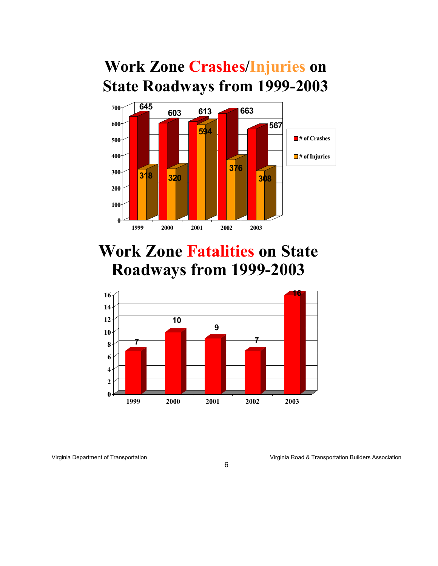# **Work Zone Crashes/Injuries on State Roadways from 1999-2003**



# **Work Zone Fatalities on State Roadways from 1999-2003**

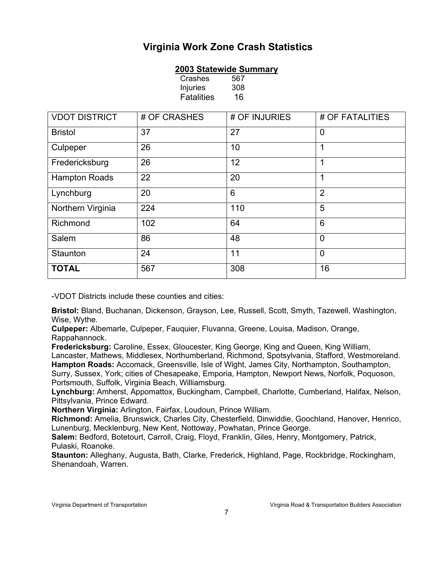# **Virginia Work Zone Crash Statistics**

#### **2003 Statewide Summary**

Crashes 567 Injuries 308 Fatalities 16

| <b>VDOT DISTRICT</b> | # OF CRASHES | # OF INJURIES | # OF FATALITIES |  |  |
|----------------------|--------------|---------------|-----------------|--|--|
| <b>Bristol</b>       | 37           | 27            | $\overline{0}$  |  |  |
| Culpeper             | 26           | 10            | 1               |  |  |
| Fredericksburg       | 26           | 12            | 1               |  |  |
| <b>Hampton Roads</b> | 22           | 20            | 1               |  |  |
| Lynchburg            | 20           | 6             | $\overline{2}$  |  |  |
| Northern Virginia    | 224          | 110           | 5               |  |  |
| Richmond             | 102          | 64            | 6               |  |  |
| Salem                | 86           | 48            | $\overline{0}$  |  |  |
| Staunton             | 24           | 11            | $\overline{0}$  |  |  |
| <b>TOTAL</b>         | 567          | 308           | 16              |  |  |

-VDOT Districts include these counties and cities:

**Bristol:** Bland, Buchanan, Dickenson, Grayson, Lee, Russell, Scott, Smyth, Tazewell, Washington, Wise, Wythe.

**Culpeper:** Albemarle, Culpeper, Fauquier, Fluvanna, Greene, Louisa, Madison, Orange, Rappahannock.

**Fredericksburg:** Caroline, Essex, Gloucester, King George, King and Queen, King William, Lancaster, Mathews, Middlesex, Northumberland, Richmond, Spotsylvania, Stafford, Westmoreland. **Hampton Roads:** Accomack, Greensville, Isle of Wight, James City, Northampton, Southampton, Surry, Sussex, York; cities of Chesapeake, Emporia, Hampton, Newport News, Norfolk, Poquoson, Portsmouth, Suffolk, Virginia Beach, Williamsburg.

**Lynchburg:** Amherst, Appomattox, Buckingham, Campbell, Charlotte, Cumberland, Halifax, Nelson, Pittsylvania, Prince Edward.

**Northern Virginia:** Arlington, Fairfax, Loudoun, Prince William.

**Richmond:** Amelia, Brunswick, Charles City, Chesterfield, Dinwiddie, Goochland, Hanover, Henrico, Lunenburg, Mecklenburg, New Kent, Nottoway, Powhatan, Prince George.

**Salem:** Bedford, Botetourt, Carroll, Craig, Floyd, Franklin, Giles, Henry, Montgomery, Patrick, Pulaski, Roanoke.

**Staunton:** Alleghany, Augusta, Bath, Clarke, Frederick, Highland, Page, Rockbridge, Rockingham, Shenandoah, Warren.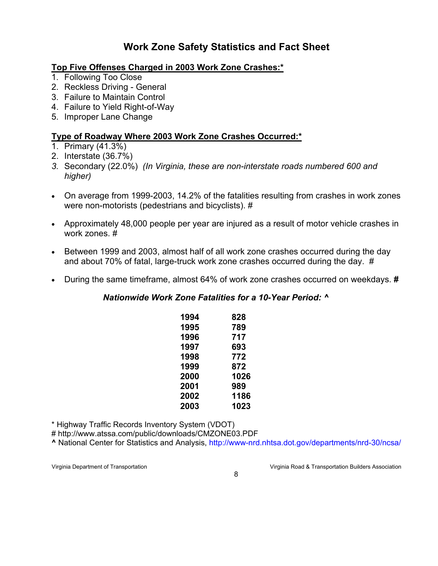# **Work Zone Safety Statistics and Fact Sheet**

#### **Top Five Offenses Charged in 2003 Work Zone Crashes:\***

- 1. Following Too Close
- 2. Reckless Driving General
- 3. Failure to Maintain Control
- 4. Failure to Yield Right-of-Way
- 5. Improper Lane Change

#### **Type of Roadway Where 2003 Work Zone Crashes Occurred:\***

- 1. Primary (41.3%)
- 2. Interstate (36.7%)
- *3.* Secondary (22.0%) *(In Virginia, these are non-interstate roads numbered 600 and higher)*
- On average from 1999-2003, 14.2% of the fatalities resulting from crashes in work zones were non-motorists (pedestrians and bicyclists). #
- Approximately 48,000 people per year are injured as a result of motor vehicle crashes in work zones. #
- Between 1999 and 2003, almost half of all work zone crashes occurred during the day and about 70% of fatal, large-truck work zone crashes occurred during the day. #
- During the same timeframe, almost 64% of work zone crashes occurred on weekdays. **#**

#### *Nationwide Work Zone Fatalities for a 10-Year Period: ^*

| 1994 | 828  |
|------|------|
| 1995 | 789  |
| 1996 | 717  |
| 1997 | 693  |
| 1998 | 772  |
| 1999 | 872  |
| 2000 | 1026 |
| 2001 | 989  |
| 2002 | 1186 |
| 2003 | 1023 |

\* Highway Traffic Records Inventory System (VDOT)

# http://www.atssa.com/public/downloads/CMZONE03.PDF

**^** National Center for Statistics and Analysis, http://www-nrd.nhtsa.dot.gov/departments/nrd-30/ncsa/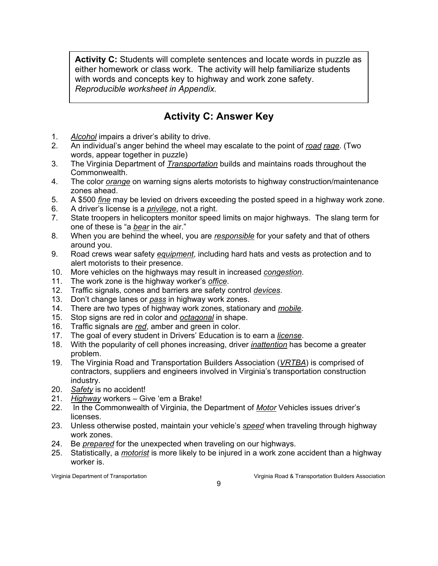**Activity C:** Students will complete sentences and locate words in puzzle as either homework or class work. The activity will help familiarize students with words and concepts key to highway and work zone safety. *Reproducible worksheet in Appendix.*

# **Activity C: Answer Key**

- 1. *Alcohol* impairs a driver's ability to drive.
- 2. An individual's anger behind the wheel may escalate to the point of *road rage*. (Two words, appear together in puzzle)
- 3. The Virginia Department of *Transportation* builds and maintains roads throughout the Commonwealth.
- 4. The color *orange* on warning signs alerts motorists to highway construction/maintenance zones ahead.
- 5. A \$500 *fine* may be levied on drivers exceeding the posted speed in a highway work zone.
- 6. A driver's license is a *privilege*, not a right.
- 7. State troopers in helicopters monitor speed limits on major highways. The slang term for one of these is "a *bear* in the air."
- 8. When you are behind the wheel, you are *responsible* for your safety and that of others around you.
- 9. Road crews wear safety *equipment*, including hard hats and vests as protection and to alert motorists to their presence.
- 10. More vehicles on the highways may result in increased *congestion*.
- 11. The work zone is the highway worker's *office*.
- 12. Traffic signals, cones and barriers are safety control *devices*.
- 13. Don't change lanes or *pass* in highway work zones.
- 14. There are two types of highway work zones, stationary and *mobile*.
- 15. Stop signs are red in color and *octagonal* in shape.
- 16. Traffic signals are *red*, amber and green in color.
- 17. The goal of every student in Drivers' Education is to earn a *license*.
- 18. With the popularity of cell phones increasing, driver *inattention* has become a greater problem.
- 19. The Virginia Road and Transportation Builders Association (*VRTBA*) is comprised of contractors, suppliers and engineers involved in Virginia's transportation construction industry.
- 20. *Safety* is no accident!
- 21. *Highway* workers Give 'em a Brake!
- 22. In the Commonwealth of Virginia, the Department of *Motor* Vehicles issues driver's licenses.
- 23. Unless otherwise posted, maintain your vehicle's *speed* when traveling through highway work zones.
- 24. Be *prepared* for the unexpected when traveling on our highways.
- 25. Statistically, a *motorist* is more likely to be injured in a work zone accident than a highway worker is.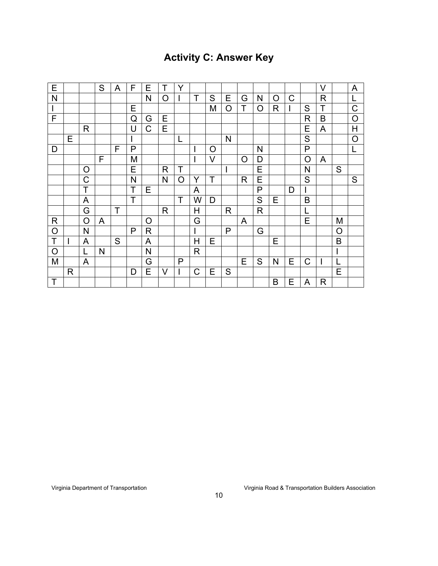# **Activity C: Answer Key**

| E            |   |   | S | A | F | E            | Τ            | Υ |   |   |              |              |   |         |   |         | $\vee$ |          | A              |
|--------------|---|---|---|---|---|--------------|--------------|---|---|---|--------------|--------------|---|---------|---|---------|--------|----------|----------------|
| $\mathsf{N}$ |   |   |   |   |   | N            | O            |   | T | S | Е            | G            | N | $\circ$ | C |         | R      |          | L              |
| $\mathsf I$  |   |   |   |   | Е |              |              |   |   | M | O            | Т            | O | R       |   | S       | T      |          | C              |
| F            |   |   |   |   | Q | G            | Е            |   |   |   |              |              |   |         |   | R       | B      |          | $\overline{O}$ |
|              |   | R |   |   | U | C            | Е            |   |   |   |              |              |   |         |   | Е       | A      |          | Η              |
|              | Е |   |   |   |   |              |              | L |   |   | $\mathsf{N}$ |              |   |         |   | S       |        |          | $\overline{O}$ |
| D            |   |   |   | F | P |              |              |   |   | O |              |              | N |         |   | P       |        |          | L              |
|              |   |   | F |   | M |              |              |   |   | V |              | $\circ$      | D |         |   | $\circ$ | A      |          |                |
|              |   | O |   |   | Е |              | R            | Τ |   |   | I            |              | Ε |         |   | N       |        | S        |                |
|              |   | Ć |   |   | N |              | $\mathsf{N}$ | O | Y | Т |              | $\mathsf{R}$ | E |         |   | S       |        |          | S              |
|              |   | T |   |   | Т | Ε            |              |   | A |   |              |              | P |         | D |         |        |          |                |
|              |   | A |   |   | T |              |              | T | W | D |              |              | S | E       |   | B       |        |          |                |
|              |   | G |   | Т |   |              | R            |   | H |   | R            |              | R |         |   |         |        |          |                |
| R            |   | O | A |   |   | $\circ$      |              |   | G |   |              | A            |   |         |   | E       |        | M        |                |
| $\circ$      |   | N |   |   | P | $\mathsf{R}$ |              |   |   |   | P            |              | G |         |   |         |        | $\Omega$ |                |
| Τ            |   | A |   | S |   | A            |              |   | Н | Е |              |              |   | Е       |   |         |        | B        |                |
| $\circ$      |   |   | N |   |   | ${\sf N}$    |              |   | R |   |              |              |   |         |   |         |        |          |                |
| M            |   | A |   |   |   | G            |              | P |   |   |              | Е            | S | N       | Е | C       |        |          |                |
|              | R |   |   |   | D | E            | $\vee$       |   | C | E | S            |              |   |         |   |         |        | E        |                |
| T            |   |   |   |   |   |              |              |   |   |   |              |              |   | B       | Е | A       | R      |          |                |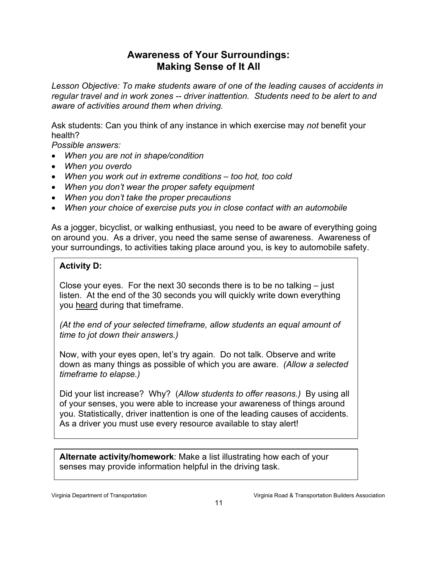### **Awareness of Your Surroundings: Making Sense of It All**

*Lesson Objective: To make students aware of one of the leading causes of accidents in regular travel and in work zones -- driver inattention. Students need to be alert to and aware of activities around them when driving.*

Ask students: Can you think of any instance in which exercise may *not* benefit your health?

*Possible answers:* 

- *When you are not in shape/condition*
- *When you overdo*
- *When you work out in extreme conditions too hot, too cold*
- *When you don't wear the proper safety equipment*
- *When you don't take the proper precautions*
- *When your choice of exercise puts you in close contact with an automobile*

As a jogger, bicyclist, or walking enthusiast, you need to be aware of everything going on around you. As a driver, you need the same sense of awareness. Awareness of your surroundings, to activities taking place around you, is key to automobile safety.

#### **Activity D:**

Close your eyes. For the next 30 seconds there is to be no talking – just listen. At the end of the 30 seconds you will quickly write down everything you heard during that timeframe.

*(At the end of your selected timeframe, allow students an equal amount of time to jot down their answers.)* 

Now, with your eyes open, let's try again. Do not talk. Observe and write down as many things as possible of which you are aware. *(Allow a selected timeframe to elapse.)* 

Did your list increase? Why? (*Allow students to offer reasons.)* By using all of your senses, you were able to increase your awareness of things around you. Statistically, driver inattention is one of the leading causes of accidents. As a driver you must use every resource available to stay alert!

**Alternate activity/homework**: Make a list illustrating how each of your senses may provide information helpful in the driving task.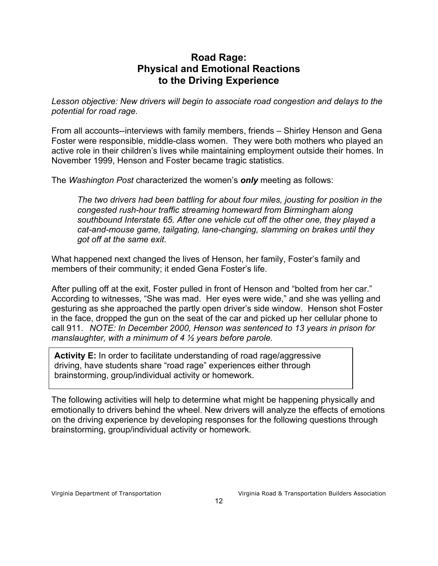### **Road Rage: Physical and Emotional Reactions to the Driving Experience**

*Lesson objective: New drivers will begin to associate road congestion and delays to the potential for road rage.* 

From all accounts--interviews with family members, friends – Shirley Henson and Gena Foster were responsible, middle-class women. They were both mothers who played an active role in their children's lives while maintaining employment outside their homes. In November 1999, Henson and Foster became tragic statistics.

The *Washington Post* characterized the women's *only* meeting as follows:

*The two drivers had been battling for about four miles, jousting for position in the congested rush-hour traffic streaming homeward from Birmingham along southbound Interstate 65. After one vehicle cut off the other one, they played a cat-and-mouse game, tailgating, lane-changing, slamming on brakes until they got off at the same exit.* 

What happened next changed the lives of Henson, her family, Foster's family and members of their community; it ended Gena Foster's life.

After pulling off at the exit, Foster pulled in front of Henson and "bolted from her car." According to witnesses, "She was mad. Her eyes were wide," and she was yelling and gesturing as she approached the partly open driver's side window. Henson shot Foster in the face, dropped the gun on the seat of the car and picked up her cellular phone to call 911. *NOTE: In December 2000, Henson was sentenced to 13 years in prison for manslaughter, with a minimum of 4 ½ years before parole.* 

**Activity E:** In order to facilitate understanding of road rage/aggressive driving, have students share "road rage" experiences either through brainstorming, group/individual activity or homework.

The following activities will help to determine what might be happening physically and emotionally to drivers behind the wheel. New drivers will analyze the effects of emotions on the driving experience by developing responses for the following questions through brainstorming, group/individual activity or homework.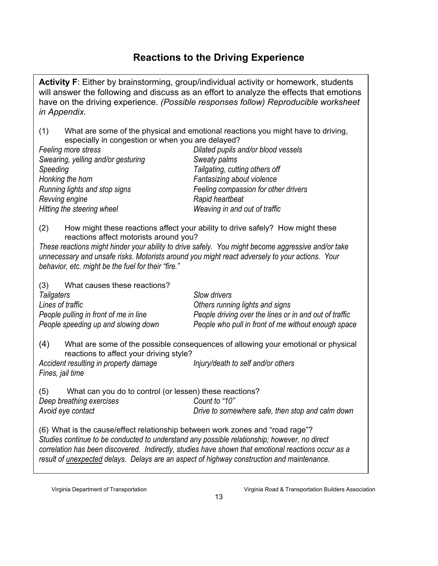# **Reactions to the Driving Experience**

**Activity F**: Either by brainstorming, group/individual activity or homework, students will answer the following and discuss as an effort to analyze the effects that emotions have on the driving experience. *(Possible responses follow) Reproducible worksheet in Appendix.* 

(1) What are some of the physical and emotional reactions you might have to driving, especially in congestion or when you are delayed?

(2) How might these reactions affect your ability to drive safely? How might these reactions affect motorists around you?

*These reactions might hinder your ability to drive safely. You might become aggressive and/or take unnecessary and unsafe risks. Motorists around you might react adversely to your actions. Your behavior, etc. might be the fuel for their "fire."* 

| What causes these reactions?<br>(3)   |                                                        |  |  |  |  |  |
|---------------------------------------|--------------------------------------------------------|--|--|--|--|--|
| Tailgaters                            | Slow drivers                                           |  |  |  |  |  |
| Lines of traffic                      | Others running lights and signs                        |  |  |  |  |  |
| People pulling in front of me in line | People driving over the lines or in and out of traffic |  |  |  |  |  |
| People speeding up and slowing down   | People who pull in front of me without enough space    |  |  |  |  |  |

(4) What are some of the possible consequences of allowing your emotional or physical reactions to affect your driving style?

*Accident resulting in property damage Injury/death to self and/or others Fines, jail time* 

(5) What can you do to control (or lessen) these reactions? *Deep breathing exercises Count to "10" Avoid eye contact Drive to somewhere safe, then stop and calm down*

(6) What is the cause/effect relationship between work zones and "road rage"? *Studies continue to be conducted to understand any possible relationship; however, no direct correlation has been discovered. Indirectly, studies have shown that emotional reactions occur as a result of unexpected delays. Delays are an aspect of highway construction and maintenance.*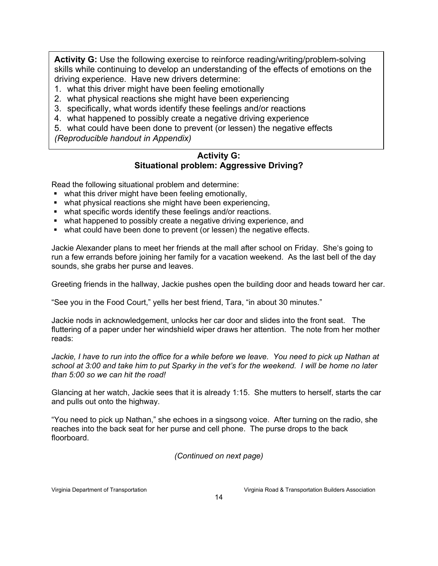**Activity G:** Use the following exercise to reinforce reading/writing/problem-solving skills while continuing to develop an understanding of the effects of emotions on the driving experience. Have new drivers determine:

- 1. what this driver might have been feeling emotionally
- 2. what physical reactions she might have been experiencing
- 3. specifically, what words identify these feelings and/or reactions
- 4. what happened to possibly create a negative driving experience

5. what could have been done to prevent (or lessen) the negative effects *(Reproducible handout in Appendix)* 

#### **Activity G: Situational problem: Aggressive Driving?**

Read the following situational problem and determine:

- what this driver might have been feeling emotionally,
- what physical reactions she might have been experiencing,
- what specific words identify these feelings and/or reactions.
- what happened to possibly create a negative driving experience, and
- what could have been done to prevent (or lessen) the negative effects.

Jackie Alexander plans to meet her friends at the mall after school on Friday. She's going to run a few errands before joining her family for a vacation weekend. As the last bell of the day sounds, she grabs her purse and leaves.

Greeting friends in the hallway, Jackie pushes open the building door and heads toward her car.

"See you in the Food Court," yells her best friend, Tara, "in about 30 minutes."

Jackie nods in acknowledgement, unlocks her car door and slides into the front seat. The fluttering of a paper under her windshield wiper draws her attention. The note from her mother reads:

*Jackie, I have to run into the office for a while before we leave. You need to pick up Nathan at school at 3:00 and take him to put Sparky in the vet's for the weekend. I will be home no later than 5:00 so we can hit the road!* 

Glancing at her watch, Jackie sees that it is already 1:15. She mutters to herself, starts the car and pulls out onto the highway.

"You need to pick up Nathan," she echoes in a singsong voice. After turning on the radio, she reaches into the back seat for her purse and cell phone. The purse drops to the back floorboard.

*(Continued on next page)*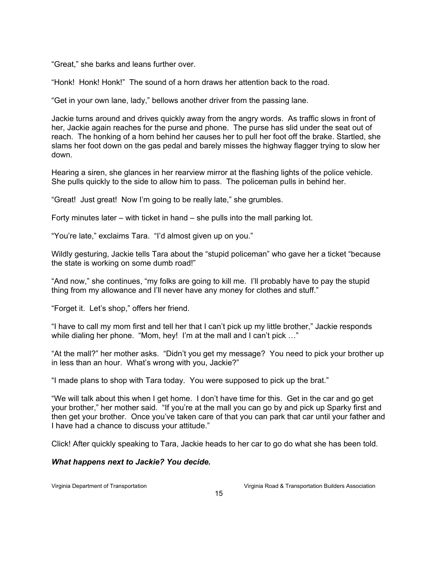"Great," she barks and leans further over.

"Honk! Honk! Honk!" The sound of a horn draws her attention back to the road.

"Get in your own lane, lady," bellows another driver from the passing lane.

Jackie turns around and drives quickly away from the angry words. As traffic slows in front of her, Jackie again reaches for the purse and phone. The purse has slid under the seat out of reach. The honking of a horn behind her causes her to pull her foot off the brake. Startled, she slams her foot down on the gas pedal and barely misses the highway flagger trying to slow her down.

Hearing a siren, she glances in her rearview mirror at the flashing lights of the police vehicle. She pulls quickly to the side to allow him to pass. The policeman pulls in behind her.

"Great! Just great! Now I'm going to be really late," she grumbles.

Forty minutes later – with ticket in hand – she pulls into the mall parking lot.

"You're late," exclaims Tara. "I'd almost given up on you."

Wildly gesturing, Jackie tells Tara about the "stupid policeman" who gave her a ticket "because the state is working on some dumb road!"

"And now," she continues, "my folks are going to kill me. I'll probably have to pay the stupid thing from my allowance and I'll never have any money for clothes and stuff."

"Forget it. Let's shop," offers her friend.

"I have to call my mom first and tell her that I can't pick up my little brother," Jackie responds while dialing her phone. "Mom, hey! I'm at the mall and I can't pick ..."

"At the mall?" her mother asks. "Didn't you get my message? You need to pick your brother up in less than an hour. What's wrong with you, Jackie?"

"I made plans to shop with Tara today. You were supposed to pick up the brat."

"We will talk about this when I get home. I don't have time for this. Get in the car and go get your brother," her mother said. "If you're at the mall you can go by and pick up Sparky first and then get your brother. Once you've taken care of that you can park that car until your father and I have had a chance to discuss your attitude."

Click! After quickly speaking to Tara, Jackie heads to her car to go do what she has been told.

#### *What happens next to Jackie? You decide.*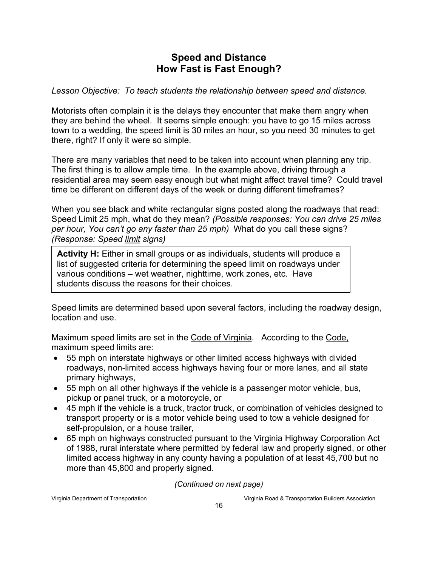## **Speed and Distance How Fast is Fast Enough?**

*Lesson Objective: To teach students the relationship between speed and distance.* 

Motorists often complain it is the delays they encounter that make them angry when they are behind the wheel. It seems simple enough: you have to go 15 miles across town to a wedding, the speed limit is 30 miles an hour, so you need 30 minutes to get there, right? If only it were so simple.

There are many variables that need to be taken into account when planning any trip. The first thing is to allow ample time. In the example above, driving through a residential area may seem easy enough but what might affect travel time? Could travel time be different on different days of the week or during different timeframes?

When you see black and white rectangular signs posted along the roadways that read: Speed Limit 25 mph, what do they mean? *(Possible responses: You can drive 25 miles per hour, You can't go any faster than 25 mph)* What do you call these signs? *(Response: Speed limit signs)* 

**Activity H:** Either in small groups or as individuals, students will produce a list of suggested criteria for determining the speed limit on roadways under various conditions – wet weather, nighttime, work zones, etc. Have students discuss the reasons for their choices.

Speed limits are determined based upon several factors, including the roadway design, location and use.

Maximum speed limits are set in the Code of Virginia. According to the Code, maximum speed limits are:

- 55 mph on interstate highways or other limited access highways with divided roadways, non-limited access highways having four or more lanes, and all state primary highways,
- 55 mph on all other highways if the vehicle is a passenger motor vehicle, bus, pickup or panel truck, or a motorcycle, or
- 45 mph if the vehicle is a truck, tractor truck, or combination of vehicles designed to transport property or is a motor vehicle being used to tow a vehicle designed for self-propulsion, or a house trailer,
- 65 mph on highways constructed pursuant to the Virginia Highway Corporation Act of 1988, rural interstate where permitted by federal law and properly signed, or other limited access highway in any county having a population of at least 45,700 but no more than 45,800 and properly signed.

*(Continued on next page)*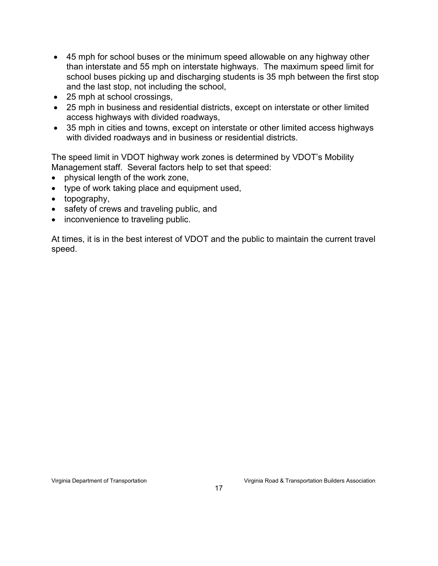- 45 mph for school buses or the minimum speed allowable on any highway other than interstate and 55 mph on interstate highways. The maximum speed limit for school buses picking up and discharging students is 35 mph between the first stop and the last stop, not including the school,
- 25 mph at school crossings,
- 25 mph in business and residential districts, except on interstate or other limited access highways with divided roadways,
- 35 mph in cities and towns, except on interstate or other limited access highways with divided roadways and in business or residential districts.

The speed limit in VDOT highway work zones is determined by VDOT's Mobility Management staff. Several factors help to set that speed:

- physical length of the work zone,
- type of work taking place and equipment used,
- topography,
- safety of crews and traveling public, and
- inconvenience to traveling public.

At times, it is in the best interest of VDOT and the public to maintain the current travel speed.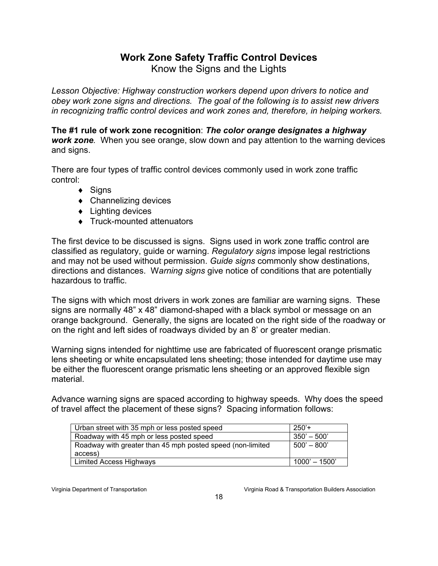# **Work Zone Safety Traffic Control Devices**

Know the Signs and the Lights

*Lesson Objective: Highway construction workers depend upon drivers to notice and obey work zone signs and directions. The goal of the following is to assist new drivers in recognizing traffic control devices and work zones and, therefore, in helping workers.*

**The #1 rule of work zone recognition**: *The color orange designates a highway work zone.* When you see orange, slow down and pay attention to the warning devices and signs.

There are four types of traffic control devices commonly used in work zone traffic control:

- ♦ Signs
- ♦ Channelizing devices
- ♦ Lighting devices
- ♦ Truck-mounted attenuators

The first device to be discussed is signs. Signs used in work zone traffic control are classified as regulatory, guide or warning. *Regulatory signs* impose legal restrictions and may not be used without permission. *Guide signs* commonly show destinations, directions and distances. W*arning signs* give notice of conditions that are potentially hazardous to traffic.

The signs with which most drivers in work zones are familiar are warning signs. These signs are normally 48" x 48" diamond-shaped with a black symbol or message on an orange background. Generally, the signs are located on the right side of the roadway or on the right and left sides of roadways divided by an 8' or greater median.

Warning signs intended for nighttime use are fabricated of fluorescent orange prismatic lens sheeting or white encapsulated lens sheeting; those intended for daytime use may be either the fluorescent orange prismatic lens sheeting or an approved flexible sign material.

Advance warning signs are spaced according to highway speeds. Why does the speed of travel affect the placement of these signs? Spacing information follows:

| Urban street with 35 mph or less posted speed              | $250'$ +        |
|------------------------------------------------------------|-----------------|
| Roadway with 45 mph or less posted speed                   | $350' - 500'$   |
| Roadway with greater than 45 mph posted speed (non-limited | $500' - 800'$   |
| access)                                                    |                 |
| Limited Access Highways                                    | $1000' - 1500'$ |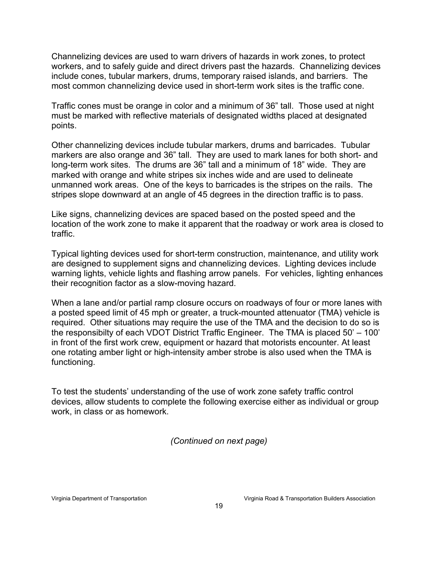Channelizing devices are used to warn drivers of hazards in work zones, to protect workers, and to safely guide and direct drivers past the hazards. Channelizing devices include cones, tubular markers, drums, temporary raised islands, and barriers. The most common channelizing device used in short-term work sites is the traffic cone.

Traffic cones must be orange in color and a minimum of 36" tall. Those used at night must be marked with reflective materials of designated widths placed at designated points.

Other channelizing devices include tubular markers, drums and barricades. Tubular markers are also orange and 36" tall. They are used to mark lanes for both short- and long-term work sites. The drums are 36" tall and a minimum of 18" wide. They are marked with orange and white stripes six inches wide and are used to delineate unmanned work areas. One of the keys to barricades is the stripes on the rails. The stripes slope downward at an angle of 45 degrees in the direction traffic is to pass.

Like signs, channelizing devices are spaced based on the posted speed and the location of the work zone to make it apparent that the roadway or work area is closed to traffic.

Typical lighting devices used for short-term construction, maintenance, and utility work are designed to supplement signs and channelizing devices. Lighting devices include warning lights, vehicle lights and flashing arrow panels. For vehicles, lighting enhances their recognition factor as a slow-moving hazard.

When a lane and/or partial ramp closure occurs on roadways of four or more lanes with a posted speed limit of 45 mph or greater, a truck-mounted attenuator (TMA) vehicle is required. Other situations may require the use of the TMA and the decision to do so is the responsibilty of each VDOT District Traffic Engineer. The TMA is placed 50' – 100' in front of the first work crew, equipment or hazard that motorists encounter. At least one rotating amber light or high-intensity amber strobe is also used when the TMA is functioning.

To test the students' understanding of the use of work zone safety traffic control devices, allow students to complete the following exercise either as individual or group work, in class or as homework.

*(Continued on next page)*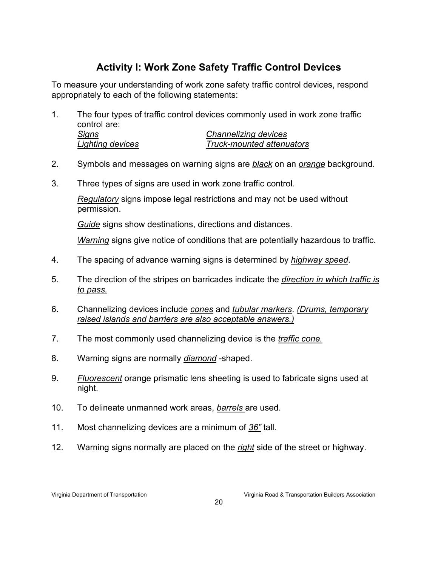# **Activity I: Work Zone Safety Traffic Control Devices**

To measure your understanding of work zone safety traffic control devices, respond appropriately to each of the following statements:

- 1. The four types of traffic control devices commonly used in work zone traffic control are: *Signs Channelizing devices Lighting devices Truck-mounted attenuators*
- 2. Symbols and messages on warning signs are *black* on an *orange* background.
- 3. Three types of signs are used in work zone traffic control.

*Regulatory* signs impose legal restrictions and may not be used without permission.

*Guide* signs show destinations, directions and distances.

*Warning* signs give notice of conditions that are potentially hazardous to traffic.

- 4. The spacing of advance warning signs is determined by *highway speed*.
- 5. The direction of the stripes on barricades indicate the *direction in which traffic is to pass.*
- 6. Channelizing devices include *cones* and *tubular markers*. *(Drums, temporary raised islands and barriers are also acceptable answers.)*
- 7. The most commonly used channelizing device is the *traffic cone.*
- 8. Warning signs are normally *diamond* -shaped.
- 9. *Fluorescent* orange prismatic lens sheeting is used to fabricate signs used at night.
- 10. To delineate unmanned work areas, *barrels* are used.
- 11. Most channelizing devices are a minimum of *36"* tall.
- 12. Warning signs normally are placed on the *right* side of the street or highway.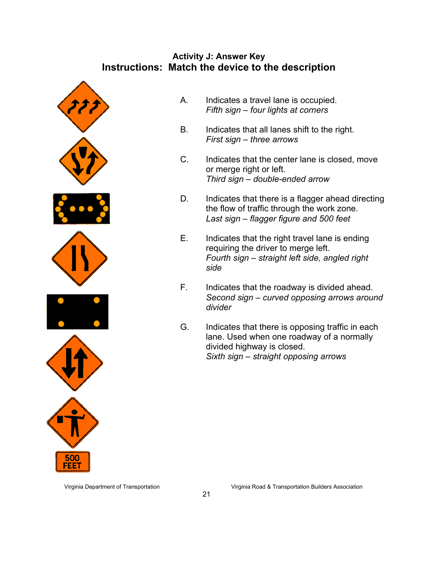#### **Activity J: Answer Key Instructions: Match the device to the description**



- A. Indicates a travel lane is occupied. *Fifth sign – four lights at corners*
- B. Indicates that all lanes shift to the right. *First sign – three arrows*
- C. Indicates that the center lane is closed, move or merge right or left. *Third sign – double-ended arrow*
- D. Indicates that there is a flagger ahead directing the flow of traffic through the work zone. *Last sign – flagger figure and 500 feet*
- E. Indicates that the right travel lane is ending requiring the driver to merge left. *Fourth sign – straight left side, angled right side*
- F. Indicates that the roadway is divided ahead. *Second sign – curved opposing arrows around divider*
- G. Indicates that there is opposing traffic in each lane. Used when one roadway of a normally divided highway is closed. *Sixth sign – straight opposing arrows*

 $21$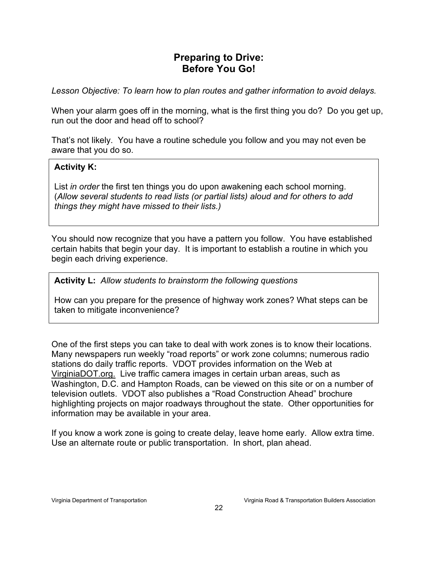## **Preparing to Drive: Before You Go!**

*Lesson Objective: To learn how to plan routes and gather information to avoid delays.* 

When your alarm goes off in the morning, what is the first thing you do? Do you get up, run out the door and head off to school?

That's not likely. You have a routine schedule you follow and you may not even be aware that you do so.

#### **Activity K:**

List *in order* the first ten things you do upon awakening each school morning. (*Allow several students to read lists (or partial lists) aloud and for others to add things they might have missed to their lists.)*

You should now recognize that you have a pattern you follow. You have established certain habits that begin your day. It is important to establish a routine in which you begin each driving experience.

**Activity L:** *Allow students to brainstorm the following questions* 

How can you prepare for the presence of highway work zones? What steps can be taken to mitigate inconvenience?

One of the first steps you can take to deal with work zones is to know their locations. Many newspapers run weekly "road reports" or work zone columns; numerous radio stations do daily traffic reports. VDOT provides information on the Web at VirginiaDOT.org. Live traffic camera images in certain urban areas, such as Washington, D.C. and Hampton Roads, can be viewed on this site or on a number of television outlets. VDOT also publishes a "Road Construction Ahead" brochure highlighting projects on major roadways throughout the state. Other opportunities for information may be available in your area.

If you know a work zone is going to create delay, leave home early. Allow extra time. Use an alternate route or public transportation. In short, plan ahead.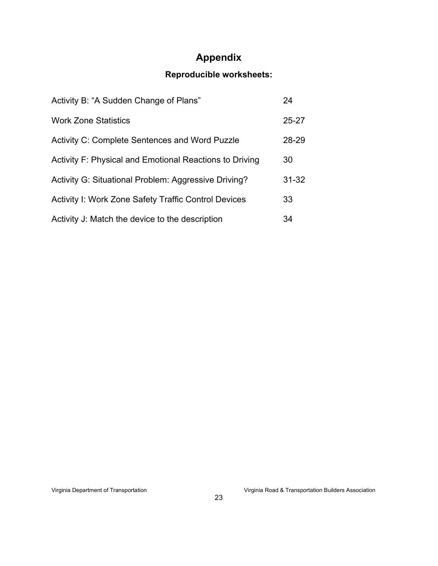# **Appendix**

# **Reproducible worksheets:**

| Activity B: "A Sudden Change of Plans"                      | 24        |
|-------------------------------------------------------------|-----------|
| <b>Work Zone Statistics</b>                                 | $25 - 27$ |
| <b>Activity C: Complete Sentences and Word Puzzle</b>       | 28-29     |
| Activity F: Physical and Emotional Reactions to Driving     | 30        |
| Activity G: Situational Problem: Aggressive Driving?        | $31 - 32$ |
| <b>Activity I: Work Zone Safety Traffic Control Devices</b> | 33        |
| Activity J: Match the device to the description             | 34        |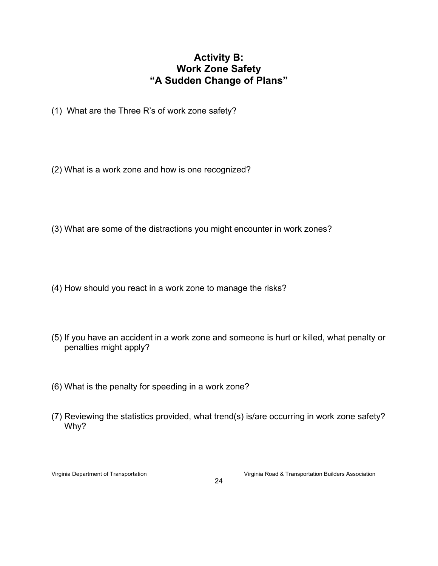### **Activity B: Work Zone Safety "A Sudden Change of Plans"**

- (1) What are the Three R's of work zone safety?
- (2) What is a work zone and how is one recognized?
- (3) What are some of the distractions you might encounter in work zones?
- (4) How should you react in a work zone to manage the risks?
- (5) If you have an accident in a work zone and someone is hurt or killed, what penalty or penalties might apply?
- (6) What is the penalty for speeding in a work zone?
- (7) Reviewing the statistics provided, what trend(s) is/are occurring in work zone safety? Why?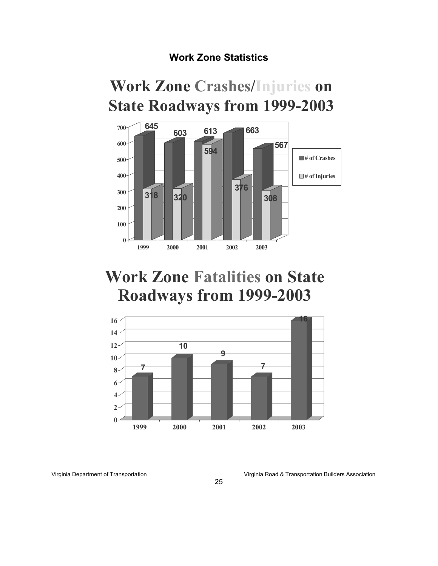# **Work Zone Statistics**

# **Work Zone Crashes/Injuries on State Roadways from 1999-2003**



# **Work Zone Fatalities on State Roadways from 1999-2003**

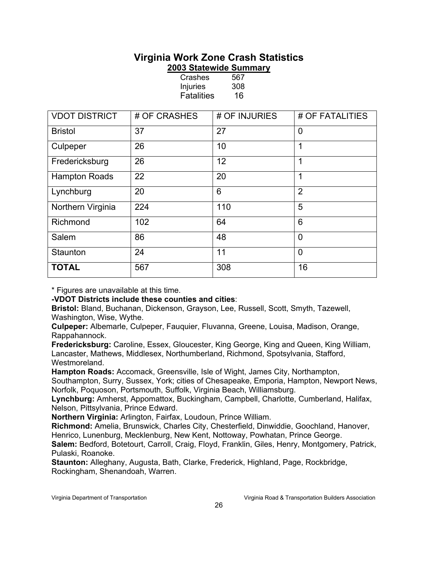#### **Virginia Work Zone Crash Statistics 2003 Statewide Summary**

| <b>VDOT DISTRICT</b> | # OF CRASHES | # OF INJURIES | # OF FATALITIES |
|----------------------|--------------|---------------|-----------------|
| <b>Bristol</b>       | 37           | 27            | $\mathbf 0$     |
| Culpeper             | 26           | 10            | 1               |
| Fredericksburg       | 26           | 12            | 1               |
| <b>Hampton Roads</b> | 22           | 20            | 1               |
| Lynchburg            | 20           | 6             | $\overline{2}$  |
| Northern Virginia    | 224          | 110           | 5               |
| Richmond             | 102          | 64            | 6               |
| Salem                | 86           | 48            | $\overline{0}$  |
| Staunton             | 24           | 11            | $\overline{0}$  |
| <b>TOTAL</b>         | 567          | 308           | 16              |

Crashes 567 Injuries 308 Fatalities 16

 $\overline{\phantom{a}}$ \* Figures are unavailable at this time.

#### **-VDOT Districts include these counties and cities**:

**Bristol:** Bland, Buchanan, Dickenson, Grayson, Lee, Russell, Scott, Smyth, Tazewell, Washington, Wise, Wythe.

**Culpeper:** Albemarle, Culpeper, Fauquier, Fluvanna, Greene, Louisa, Madison, Orange, Rappahannock.

**Fredericksburg:** Caroline, Essex, Gloucester, King George, King and Queen, King William, Lancaster, Mathews, Middlesex, Northumberland, Richmond, Spotsylvania, Stafford, Westmoreland.

**Hampton Roads:** Accomack, Greensville, Isle of Wight, James City, Northampton,

Southampton, Surry, Sussex, York; cities of Chesapeake, Emporia, Hampton, Newport News, Norfolk, Poquoson, Portsmouth, Suffolk, Virginia Beach, Williamsburg.

**Lynchburg:** Amherst, Appomattox, Buckingham, Campbell, Charlotte, Cumberland, Halifax, Nelson, Pittsylvania, Prince Edward.

**Northern Virginia:** Arlington, Fairfax, Loudoun, Prince William.

**Richmond:** Amelia, Brunswick, Charles City, Chesterfield, Dinwiddie, Goochland, Hanover, Henrico, Lunenburg, Mecklenburg, New Kent, Nottoway, Powhatan, Prince George.

**Salem:** Bedford, Botetourt, Carroll, Craig, Floyd, Franklin, Giles, Henry, Montgomery, Patrick, Pulaski, Roanoke.

**Staunton:** Alleghany, Augusta, Bath, Clarke, Frederick, Highland, Page, Rockbridge, Rockingham, Shenandoah, Warren.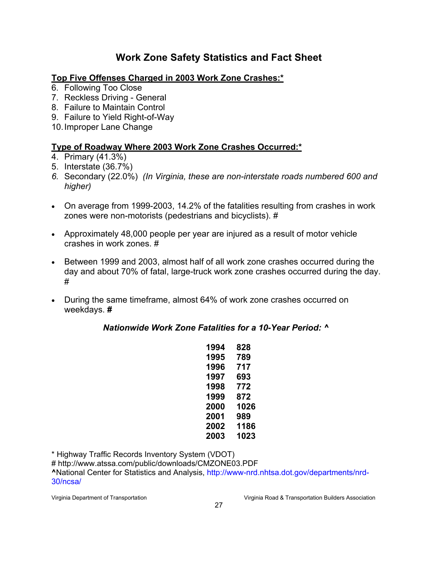# **Work Zone Safety Statistics and Fact Sheet**

#### **Top Five Offenses Charged in 2003 Work Zone Crashes:\***

- 6. Following Too Close
- 7. Reckless Driving General
- 8. Failure to Maintain Control
- 9. Failure to Yield Right-of-Way
- 10. Improper Lane Change

#### **Type of Roadway Where 2003 Work Zone Crashes Occurred:\***

- 4. Primary (41.3%)
- 5. Interstate (36.7%)
- *6.* Secondary (22.0%) *(In Virginia, these are non-interstate roads numbered 600 and higher)*
- On average from 1999-2003, 14.2% of the fatalities resulting from crashes in work zones were non-motorists (pedestrians and bicyclists). #
- Approximately 48,000 people per year are injured as a result of motor vehicle crashes in work zones. #
- Between 1999 and 2003, almost half of all work zone crashes occurred during the day and about 70% of fatal, large-truck work zone crashes occurred during the day. #
- During the same timeframe, almost 64% of work zone crashes occurred on weekdays. **#**

*Nationwide Work Zone Fatalities for a 10-Year Period: ^*

| 828  |
|------|
| 789  |
| 717  |
| 693  |
| 772  |
| 872  |
| 1026 |
| 989  |
| 1186 |
| 1023 |
|      |

\* Highway Traffic Records Inventory System (VDOT)

# http://www.atssa.com/public/downloads/CMZONE03.PDF **^**National Center for Statistics and Analysis, http://www-nrd.nhtsa.dot.gov/departments/nrd-30/ncsa/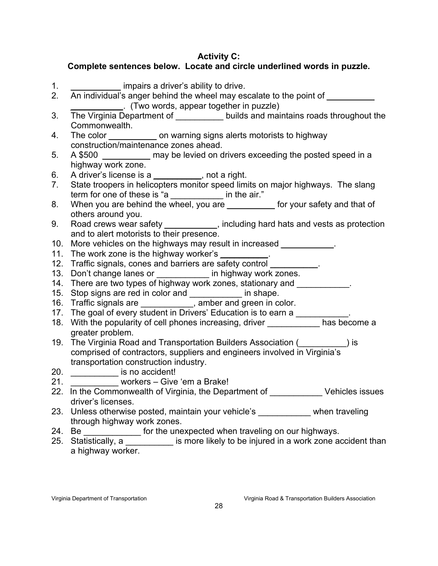#### **Activity C:**

### **Complete sentences below. Locate and circle underlined words in puzzle.**

2. An individual's anger behind the wheel may escalate to the point of

*\_\_\_\_\_\_\_\_\_\_\_*. (Two words, appear together in puzzle)

1. **Indeed impairs a driver's ability to drive.** 

- 3. The Virginia Department of **Digitize 10** builds and maintains roads throughout the Commonwealth. 4. The color *\_\_\_\_\_\_\_\_\_\_* on warning signs alerts motorists to highway construction/maintenance zones ahead. 5. A \$500 *\_\_\_\_\_\_\_\_\_\_* may be levied on drivers exceeding the posted speed in a highway work zone. 6. A driver's license is a *\_\_\_\_\_\_\_\_\_\_*, not a right. 7. State troopers in helicopters monitor speed limits on major highways. The slang term for one of these is "a *\_\_\_\_\_\_\_\_\_\_\_* in the air." 8. When you are behind the wheel, you are *\_\_\_\_\_\_\_\_\_\_* for your safety and that of others around you. 9. Road crews wear safety *\_\_\_\_\_\_\_\_\_\_\_*, including hard hats and vests as protection and to alert motorists to their presence. 10. More vehicles on the highways may result in increased *\_\_\_\_\_\_\_\_\_\_\_*. 11. The work zone is the highway worker's *\_\_\_\_\_\_\_\_\_\_*. 12. Traffic signals, cones and barriers are safety control **\_\_\_\_\_\_\_\_\_\_**. 13. Don't change lanes or \_\_\_\_\_\_\_\_\_\_\_ in highway work zones. 14. There are two types of highway work zones, stationary and 15. Stop signs are red in color and \_\_\_\_\_\_\_\_\_\_\_ in shape. 16. Traffic signals are \_\_\_\_\_\_\_\_\_\_\_, amber and green in color. 17. The goal of every student in Drivers' Education is to earn a \_\_\_\_\_\_\_\_\_\_\_. 18. With the popularity of cell phones increasing, driver has become a greater problem. 19. The Virginia Road and Transportation Builders Association (\_\_\_\_\_\_\_\_\_\_) is comprised of contractors, suppliers and engineers involved in Virginia's transportation construction industry. 20. \_\_\_\_\_\_\_\_\_\_ is no accident! 21. **Example 21.** Workers – Give 'em a Brake!
- 22. In the Commonwealth of Virginia, the Department of The Vehicles issues driver's licenses.
- 23. Unless otherwise posted, maintain your vehicle's when traveling through highway work zones.
- 24. Be \_\_\_\_\_\_\_\_\_\_\_\_\_\_ for the unexpected when traveling on our highways.
- 25. Statistically, a \_\_\_\_\_\_\_\_\_\_\_ is more likely to be injured in a work zone accident than a highway worker.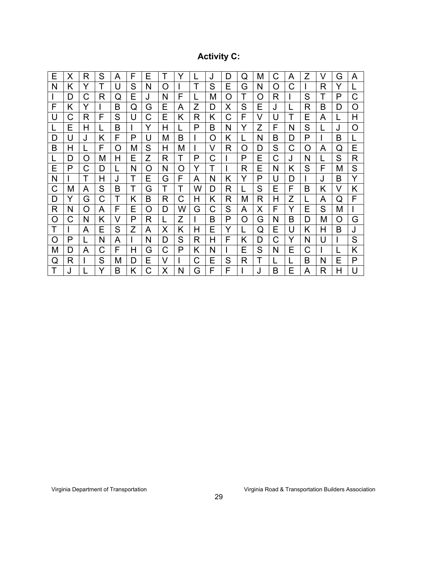# **Activity C:**

| Е | X | R | S | A | F | Е |   |   |   | J | D | O | M        | С | A | Z        | V | G | A |
|---|---|---|---|---|---|---|---|---|---|---|---|---|----------|---|---|----------|---|---|---|
| N | Κ | Y |   | U | S | N | Ω |   |   | S | Е | G | N        | Ω | С |          | R | Y |   |
|   | D | C | R | Q | E |   | N | F |   | М | Ω |   | $\Omega$ | R |   | S        | т | P | C |
| F | Κ | Y |   | B | Q | G | Е | A | Z | D | Х | S | Е        | J |   | R        | в | D | O |
| U | С | R | F | S | U | С | Е | Κ | R | Κ | С | F | V        | U |   | Е        | A |   | Н |
| L | E | Н |   | B |   | Y | Н |   | P | B | N | Y | Z        | F | N | S        |   | J | O |
| D | U | J | Κ | F | P | U | M | B |   | O | Κ |   | N        | B | D | P        |   | B |   |
| B | Н |   | F | O | М | S | H | М |   | V | R | O | D        | S | С | $\Omega$ | A | Q | Е |
| L | D | Ω | M | н | Е | Z | R | T | P | C |   | P | E        | C | J | N        |   | S | R |
| Е | P | С | D |   | N | O | N | O | Y | T |   | R | Е        | N | Κ | S        | F | М | S |
| N |   | Τ | Н | J | T | Е | G | F | A | N | Κ | Y | P        | U | D |          | J | В | Y |
| C | M | A | S | B | T | G | T |   | W | D | R |   | S        | Е | F | B        | Κ | V | Κ |
| D | Y | G | C | Т | Κ | B | R | С | Н | Κ | R | Μ | R        | Н | Z |          | Α | Q | F |
| R | N | O | A | F | Е | O | D | W | G | C | S | A | X        | F | Y | Е        | S | M |   |
| O | С | N | K | V | P | R |   | Z |   | в | P | O | G        | N | В | D        | Μ | O | G |
| Τ |   | A | Е | S | Z | A | X | Κ | Н | Е | Y |   | Q        | E | U | Κ        | Н | B | J |
| O | P |   | N | A |   | N | D | S | R | н | F | Κ | D        | С | Y | N        | U |   | S |
| M | D | A | C | F | Н | G | C | P | Κ | N |   | Е | S        | N | Е | С        |   |   | Κ |
| Q | R |   | S | M | D | Ε | V |   | С | Е | S | R | T        |   |   | B        | N | Е | P |
| Τ | J |   |   | B | Κ | С | Χ | N | G | F | F |   | J        | B | E | A        | R | Н | U |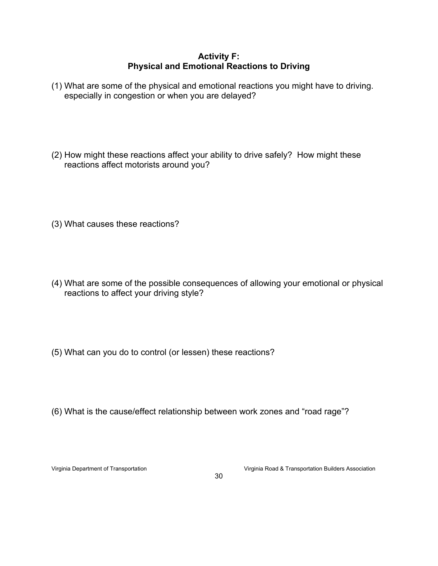#### **Activity F: Physical and Emotional Reactions to Driving**

- (1) What are some of the physical and emotional reactions you might have to driving. especially in congestion or when you are delayed?
- (2) How might these reactions affect your ability to drive safely? How might these reactions affect motorists around you?
- (3) What causes these reactions?
- (4) What are some of the possible consequences of allowing your emotional or physical reactions to affect your driving style?
- (5) What can you do to control (or lessen) these reactions?
- (6) What is the cause/effect relationship between work zones and "road rage"?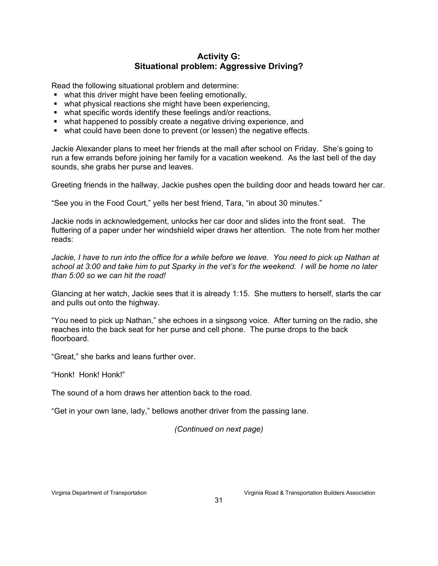#### **Activity G: Situational problem: Aggressive Driving?**

Read the following situational problem and determine:

- what this driver might have been feeling emotionally,
- what physical reactions she might have been experiencing,
- what specific words identify these feelings and/or reactions,
- what happened to possibly create a negative driving experience, and
- what could have been done to prevent (or lessen) the negative effects.

Jackie Alexander plans to meet her friends at the mall after school on Friday. She's going to run a few errands before joining her family for a vacation weekend. As the last bell of the day sounds, she grabs her purse and leaves.

Greeting friends in the hallway, Jackie pushes open the building door and heads toward her car.

"See you in the Food Court," yells her best friend, Tara, "in about 30 minutes."

Jackie nods in acknowledgement, unlocks her car door and slides into the front seat. The fluttering of a paper under her windshield wiper draws her attention. The note from her mother reads:

*Jackie, I have to run into the office for a while before we leave. You need to pick up Nathan at school at 3:00 and take him to put Sparky in the vet's for the weekend. I will be home no later than 5:00 so we can hit the road!* 

Glancing at her watch, Jackie sees that it is already 1:15. She mutters to herself, starts the car and pulls out onto the highway.

"You need to pick up Nathan," she echoes in a singsong voice. After turning on the radio, she reaches into the back seat for her purse and cell phone. The purse drops to the back floorboard.

"Great," she barks and leans further over.

"Honk! Honk! Honk!"

The sound of a horn draws her attention back to the road.

"Get in your own lane, lady," bellows another driver from the passing lane.

*(Continued on next page)*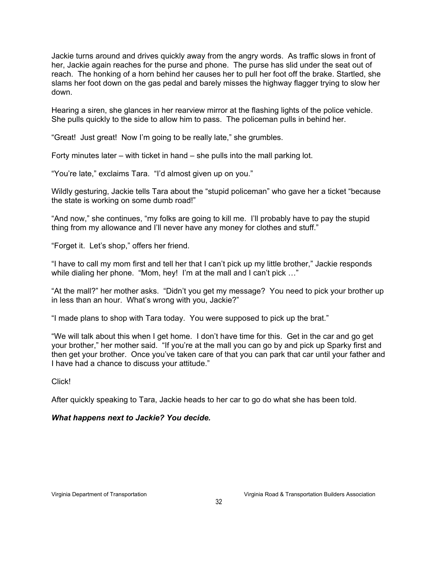Jackie turns around and drives quickly away from the angry words. As traffic slows in front of her, Jackie again reaches for the purse and phone. The purse has slid under the seat out of reach. The honking of a horn behind her causes her to pull her foot off the brake. Startled, she slams her foot down on the gas pedal and barely misses the highway flagger trying to slow her down.

Hearing a siren, she glances in her rearview mirror at the flashing lights of the police vehicle. She pulls quickly to the side to allow him to pass. The policeman pulls in behind her.

"Great! Just great! Now I'm going to be really late," she grumbles.

Forty minutes later – with ticket in hand – she pulls into the mall parking lot.

"You're late," exclaims Tara. "I'd almost given up on you."

Wildly gesturing, Jackie tells Tara about the "stupid policeman" who gave her a ticket "because the state is working on some dumb road!"

"And now," she continues, "my folks are going to kill me. I'll probably have to pay the stupid thing from my allowance and I'll never have any money for clothes and stuff."

"Forget it. Let's shop," offers her friend.

"I have to call my mom first and tell her that I can't pick up my little brother," Jackie responds while dialing her phone. "Mom, hey! I'm at the mall and I can't pick ..."

"At the mall?" her mother asks. "Didn't you get my message? You need to pick your brother up in less than an hour. What's wrong with you, Jackie?"

"I made plans to shop with Tara today. You were supposed to pick up the brat."

"We will talk about this when I get home. I don't have time for this. Get in the car and go get your brother," her mother said. "If you're at the mall you can go by and pick up Sparky first and then get your brother. Once you've taken care of that you can park that car until your father and I have had a chance to discuss your attitude."

Click!

After quickly speaking to Tara, Jackie heads to her car to go do what she has been told.

#### *What happens next to Jackie? You decide.*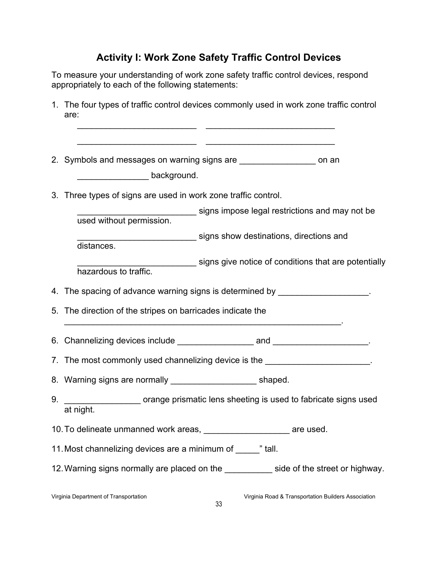# **Activity I: Work Zone Safety Traffic Control Devices**

To measure your understanding of work zone safety traffic control devices, respond appropriately to each of the following statements:

1. The four types of traffic control devices commonly used in work zone traffic control are:

|    |                                                                           | 2. Symbols and messages on warning signs are ____________________ on an         |  |  |  |  |  |  |  |  |
|----|---------------------------------------------------------------------------|---------------------------------------------------------------------------------|--|--|--|--|--|--|--|--|
|    | background.                                                               |                                                                                 |  |  |  |  |  |  |  |  |
|    | 3. Three types of signs are used in work zone traffic control.            |                                                                                 |  |  |  |  |  |  |  |  |
|    |                                                                           | signs impose legal restrictions and may not be                                  |  |  |  |  |  |  |  |  |
|    | used without permission.                                                  |                                                                                 |  |  |  |  |  |  |  |  |
|    |                                                                           | signs show destinations, directions and                                         |  |  |  |  |  |  |  |  |
|    | distances.                                                                |                                                                                 |  |  |  |  |  |  |  |  |
|    | hazardous to traffic.                                                     | signs give notice of conditions that are potentially                            |  |  |  |  |  |  |  |  |
|    |                                                                           |                                                                                 |  |  |  |  |  |  |  |  |
|    |                                                                           | 4. The spacing of advance warning signs is determined by _____________________. |  |  |  |  |  |  |  |  |
|    | 5. The direction of the stripes on barricades indicate the                |                                                                                 |  |  |  |  |  |  |  |  |
|    |                                                                           |                                                                                 |  |  |  |  |  |  |  |  |
|    |                                                                           | 7. The most commonly used channelizing device is the                            |  |  |  |  |  |  |  |  |
|    | 8. Warning signs are normally example that the shaped.                    |                                                                                 |  |  |  |  |  |  |  |  |
| 9. | at night.                                                                 | orange prismatic lens sheeting is used to fabricate signs used                  |  |  |  |  |  |  |  |  |
|    | 10. To delineate unmanned work areas, _________________________ are used. |                                                                                 |  |  |  |  |  |  |  |  |
|    | 11. Most channelizing devices are a minimum of wall.                      |                                                                                 |  |  |  |  |  |  |  |  |
|    |                                                                           | 12. Warning signs normally are placed on the side of the street or highway.     |  |  |  |  |  |  |  |  |